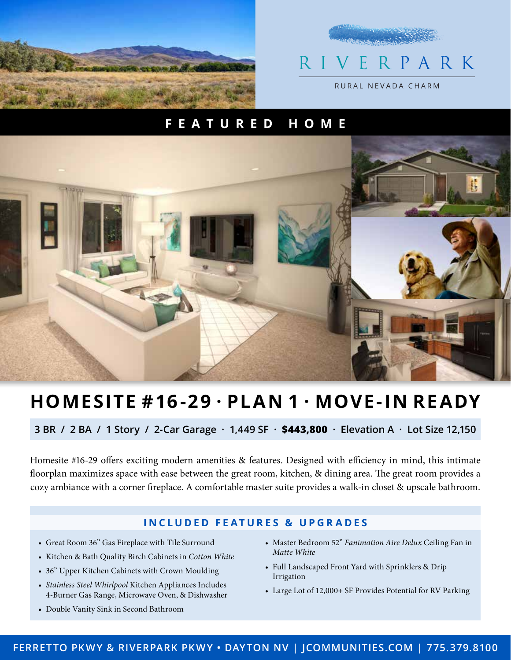

## **Castlebook** R IVE R P A R K RURAL NEVADA CHARM

### **FEATURED HOME**



# **HOMESITE #16-29 · PLAN 1 · MOVE-IN READY**

**3 BR / 2 BA / 1 Story / 2-Car Garage · 1,449 SF · \$443,800 · Elevation A · Lot Size 12,150**

Homesite #16-29 offers exciting modern amenities & features. Designed with efficiency in mind, this intimate floorplan maximizes space with ease between the great room, kitchen, & dining area. The great room provides a cozy ambiance with a corner fireplace. A comfortable master suite provides a walk-in closet & upscale bathroom.

#### **INCLUDED FEATURES & UPGRADES**

- Great Room 36" Gas Fireplace with Tile Surround
- Kitchen & Bath Quality Birch Cabinets in Cotton White
- 36" Upper Kitchen Cabinets with Crown Moulding
- Stainless Steel Whirlpool Kitchen Appliances Includes 4-Burner Gas Range, Microwave Oven, & Dishwasher
- Double Vanity Sink in Second Bathroom
- Master Bedroom 52" Fanimation Aire Delux Ceiling Fan in Matte White
- Full Landscaped Front Yard with Sprinklers & Drip Irrigation
- Large Lot of 12,000+ SF Provides Potential for RV Parking